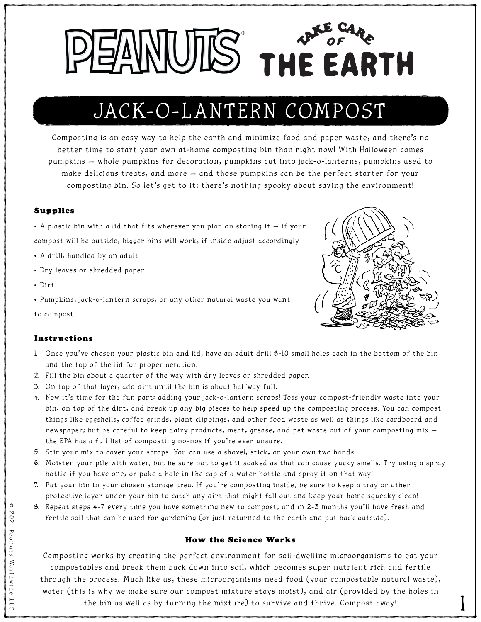Composting is an easy way to help the earth and minimize food and paper waste, and there's no better time to start your own at-home composting bin than right now! With Halloween comes pumpkins — whole pumpkins for decoration, pumpkins cut into jack-o-lanterns, pumpkins used to

make delicious treats, and more — and those pumpkins can be the perfect starter for your composting bin. So let's get to it; there's nothing spooky about saving the environment!

### Supplies

• A plastic bin with a lid that fits wherever you plan on storing it — if your

compost will be outside, bigger bins will work, if inside adjust accordingly

- A drill, handled by an adult
- Dry leaves or shredded paper
- Dirt

• Pumpkins, jack-o-lantern scraps, or any other natural waste you want

to compost



#### Instructions

- 1. Once you've chosen your plastic bin and lid, have an adult drill 8-10 small holes each in the bottom of the bin and the top of the lid for proper aeration.
- 2. Fill the bin about a quarter of the way with dry leaves or shredded paper.
- 3. On top of that layer, add dirt until the bin is about halfway full.
- 4. Now it's time for the fun part: adding your jack-o-lantern scraps! Toss your compost-friendly waste into your bin, on top of the dirt, and break up any big pieces to help speed up the composting process. You can compost things like eggshells, coffee grinds, plant clippings, and other food waste as well as things like cardboard and newspaper; but be careful to keep dairy products, meat, grease, and pet waste out of your composting mix the EPA has a full list of composting no-nos if you're ever unsure.
- 5. Stir your mix to cover your scraps. You can use a shovel, stick, or your own two hands!
- 6. Moisten your pile with water, but be sure not to get it soaked as that can cause yucky smells. Try using a spray bottle if you have one, or poke a hole in the cap of a water bottle and spray it on that way!
- 7. Put your bin in your chosen storage area. If you're composting inside, be sure to keep a tray or other protective layer under your bin to catch any dirt that might fall out and keep your home squeaky clean!
- 8. Repeat steps 4-7 every time you have something new to compost, and in 2-3 months you'll have fresh and

fertile soil that can be used for gardening (or just returned to the earth and put back outside).

© 2021 Peanuts Worldwide LLC

 $\mathfrak{D}$ 

Worldw

ide

 $\overline{\phantom{a}}$ 

 $\bigcap$ 

 $\odot$ 

202

1



#### How the Science Works

Composting works by creating the perfect environment for soil-dwelling microorganisms to eat your compostables and break them back down into soil, which becomes super nutrient rich and fertile through the process. Much like us, these microorganisms need food (your compostable natural waste), water (this is why we make sure our compost mixture stays moist), and air (provided by the holes in the bin as well as by turning the mixture) to survive and thrive. Compost away!